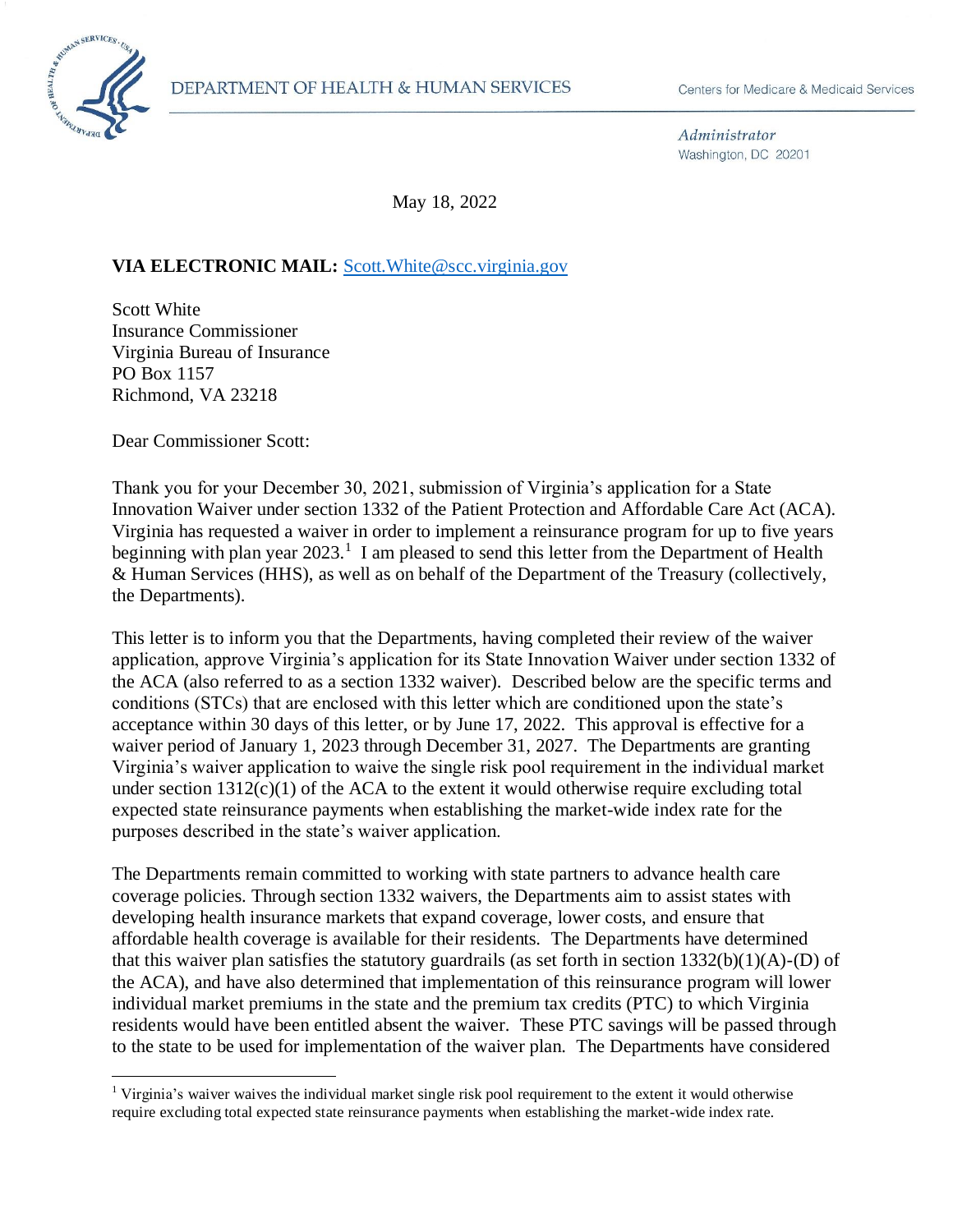

Administrator Washington, DC 20201

May 18, 2022

#### **VIA ELECTRONIC MAIL:** [Scott.White@scc.virginia.gov](mailto:Scott.White@scc.virginia.gov)

Scott White Insurance Commissioner Virginia Bureau of Insurance PO Box 1157 Richmond, VA 23218

Dear Commissioner Scott:

Thank you for your December 30, 2021, submission of Virginia's application for a State Innovation Waiver under section 1332 of the Patient Protection and Affordable Care Act (ACA). Virginia has requested a waiver in order to implement a reinsurance program for up to five years beginning with plan year  $2023$ <sup>1</sup> I am pleased to send this letter from the Department of Health & Human Services (HHS), as well as on behalf of the Department of the Treasury (collectively, the Departments).

This letter is to inform you that the Departments, having completed their review of the waiver application, approve Virginia's application for its State Innovation Waiver under section 1332 of the ACA (also referred to as a section 1332 waiver). Described below are the specific terms and conditions (STCs) that are enclosed with this letter which are conditioned upon the state's acceptance within 30 days of this letter, or by June 17, 2022. This approval is effective for a waiver period of January 1, 2023 through December 31, 2027. The Departments are granting Virginia's waiver application to waive the single risk pool requirement in the individual market under section  $1312(c)(1)$  of the ACA to the extent it would otherwise require excluding total expected state reinsurance payments when establishing the market-wide index rate for the purposes described in the state's waiver application.

The Departments remain committed to working with state partners to advance health care coverage policies. Through section 1332 waivers, the Departments aim to assist states with developing health insurance markets that expand coverage, lower costs, and ensure that affordable health coverage is available for their residents. The Departments have determined that this waiver plan satisfies the statutory guardrails (as set forth in section 1332(b)(1)(A)-(D) of the ACA), and have also determined that implementation of this reinsurance program will lower individual market premiums in the state and the premium tax credits (PTC) to which Virginia residents would have been entitled absent the waiver. These PTC savings will be passed through to the state to be used for implementation of the waiver plan. The Departments have considered

<sup>&</sup>lt;sup>1</sup> Virginia's waiver waives the individual market single risk pool requirement to the extent it would otherwise require excluding total expected state reinsurance payments when establishing the market-wide index rate.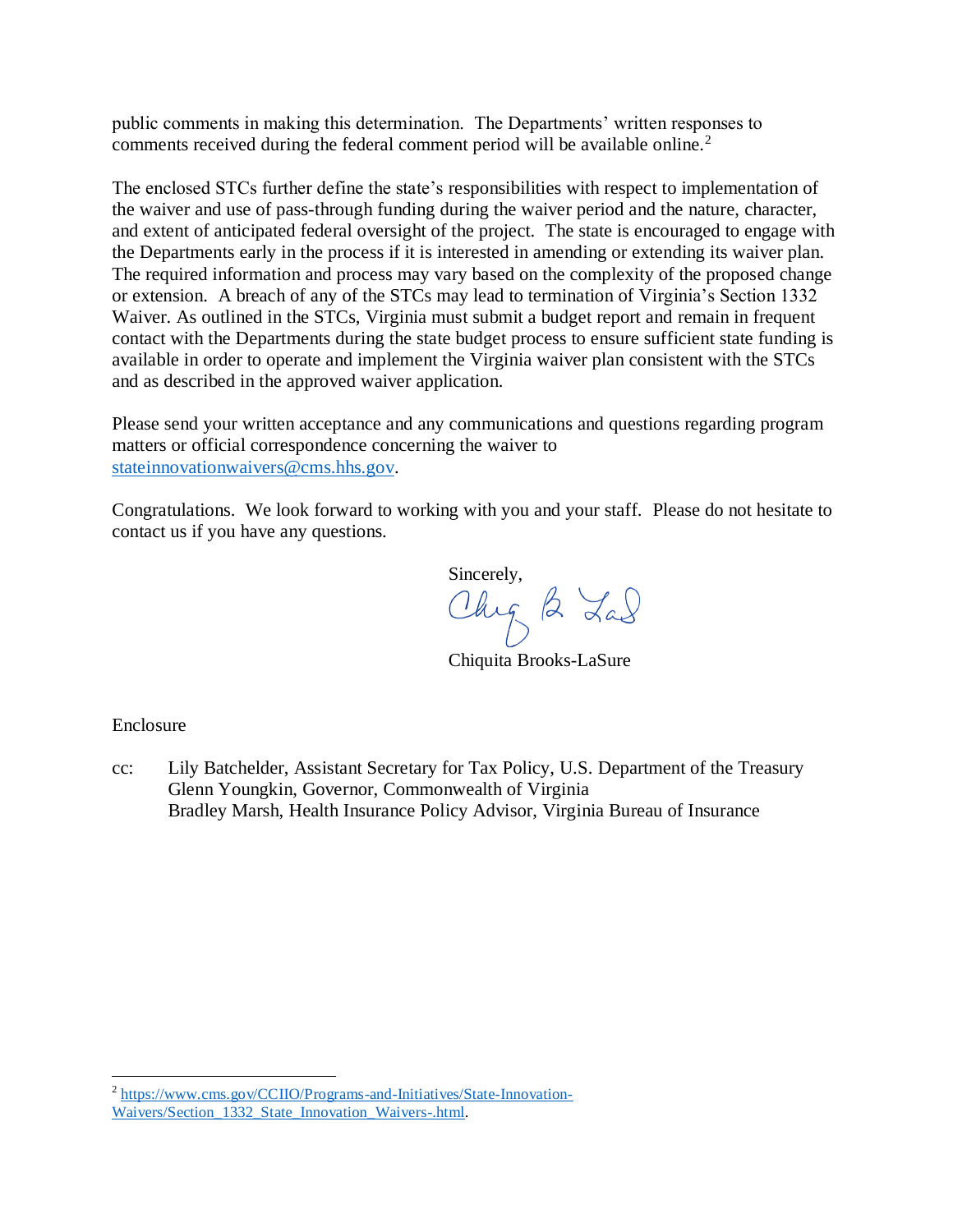public comments in making this determination. The Departments' written responses to comments received during the federal comment period will be available online.<sup>2</sup>

The enclosed STCs further define the state's responsibilities with respect to implementation of the waiver and use of pass-through funding during the waiver period and the nature, character, and extent of anticipated federal oversight of the project. The state is encouraged to engage with the Departments early in the process if it is interested in amending or extending its waiver plan. The required information and process may vary based on the complexity of the proposed change or extension. A breach of any of the STCs may lead to termination of Virginia's Section 1332 Waiver. As outlined in the STCs, Virginia must submit a budget report and remain in frequent contact with the Departments during the state budget process to ensure sufficient state funding is available in order to operate and implement the Virginia waiver plan consistent with the STCs and as described in the approved waiver application.

Please send your written acceptance and any communications and questions regarding program matters or official correspondence concerning the waiver to [stateinnovationwaivers@cms.hhs.gov.](mailto:stateinnovationwaivers@cms.hhs.gov)

Congratulations. We look forward to working with you and your staff. Please do not hesitate to contact us if you have any questions.

Sincerely,<br>Chy 2 Lad

Chiquita Brooks-LaSure

Enclosure

cc: Lily Batchelder, Assistant Secretary for Tax Policy, U.S. Department of the Treasury Glenn Youngkin, Governor, Commonwealth of Virginia Bradley Marsh, Health Insurance Policy Advisor, Virginia Bureau of Insurance

 $\overline{\phantom{a}}$ <sup>2</sup> [https://www.cms.gov/CCIIO/Programs-and-Initiatives/State-Innovation-](https://www.cms.gov/CCIIO/Programs-and-Initiatives/State-Innovation-Waivers/Section_1332_State_Innovation_Waivers-.html)[Waivers/Section\\_1332\\_State\\_Innovation\\_Waivers-.html.](https://www.cms.gov/CCIIO/Programs-and-Initiatives/State-Innovation-Waivers/Section_1332_State_Innovation_Waivers-.html)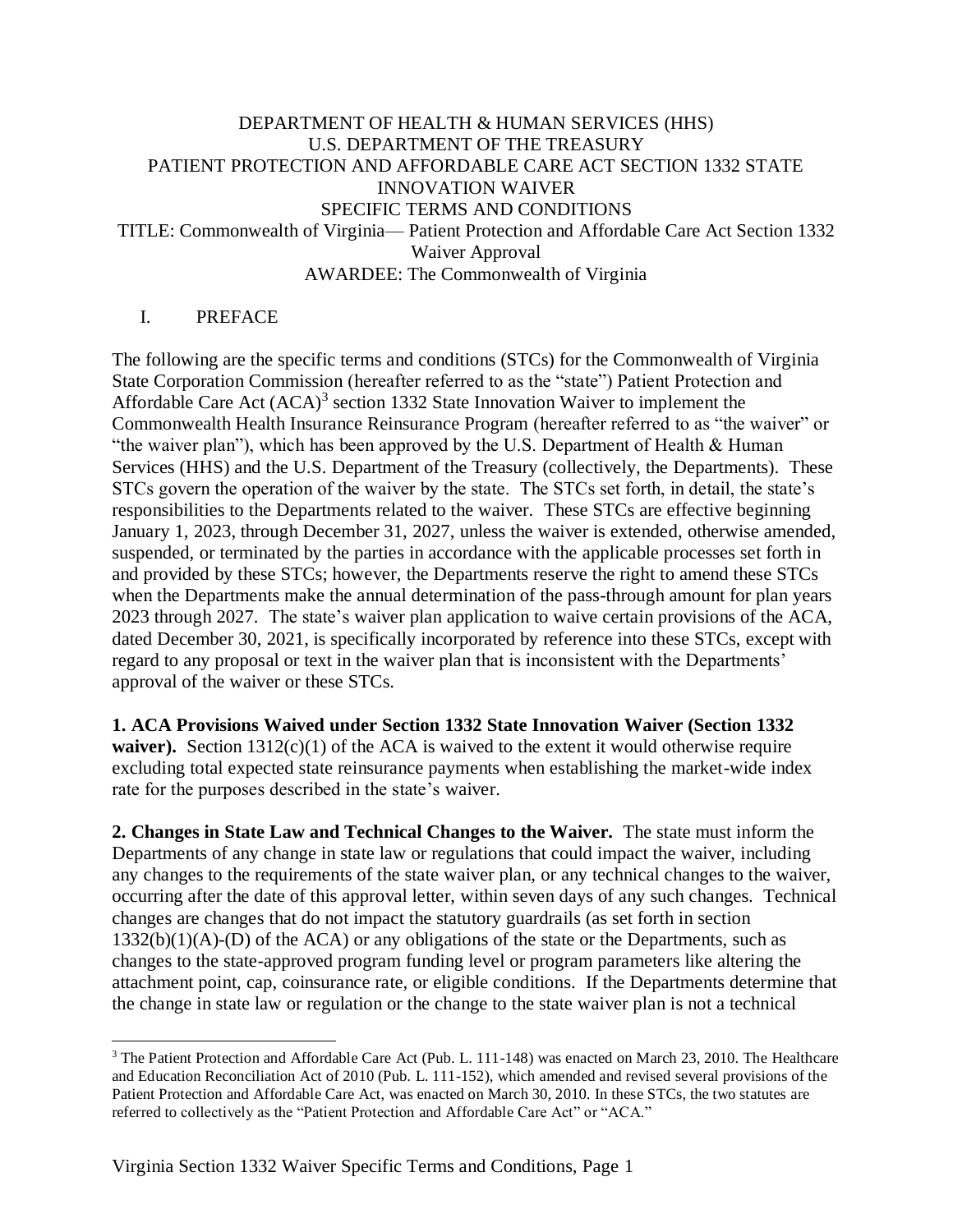# DEPARTMENT OF HEALTH & HUMAN SERVICES (HHS) U.S. DEPARTMENT OF THE TREASURY PATIENT PROTECTION AND AFFORDABLE CARE ACT SECTION 1332 STATE INNOVATION WAIVER SPECIFIC TERMS AND CONDITIONS TITLE: Commonwealth of Virginia— Patient Protection and Affordable Care Act Section 1332 Waiver Approval AWARDEE: The Commonwealth of Virginia

# I. PREFACE

 $\overline{a}$ 

The following are the specific terms and conditions (STCs) for the Commonwealth of Virginia State Corporation Commission (hereafter referred to as the "state") Patient Protection and Affordable Care Act  $(ACA)^3$  section 1332 State Innovation Waiver to implement the Commonwealth Health Insurance Reinsurance Program (hereafter referred to as "the waiver" or "the waiver plan"), which has been approved by the U.S. Department of Health & Human Services (HHS) and the U.S. Department of the Treasury (collectively, the Departments). These STCs govern the operation of the waiver by the state. The STCs set forth, in detail, the state's responsibilities to the Departments related to the waiver. These STCs are effective beginning January 1, 2023, through December 31, 2027, unless the waiver is extended, otherwise amended, suspended, or terminated by the parties in accordance with the applicable processes set forth in and provided by these STCs; however, the Departments reserve the right to amend these STCs when the Departments make the annual determination of the pass-through amount for plan years 2023 through 2027. The state's waiver plan application to waive certain provisions of the ACA, dated December 30, 2021, is specifically incorporated by reference into these STCs, except with regard to any proposal or text in the waiver plan that is inconsistent with the Departments' approval of the waiver or these STCs.

**1. ACA Provisions Waived under Section 1332 State Innovation Waiver (Section 1332 waiver).** Section  $1312(c)(1)$  of the ACA is waived to the extent it would otherwise require excluding total expected state reinsurance payments when establishing the market-wide index rate for the purposes described in the state's waiver.

**2. Changes in State Law and Technical Changes to the Waiver.** The state must inform the Departments of any change in state law or regulations that could impact the waiver, including any changes to the requirements of the state waiver plan, or any technical changes to the waiver, occurring after the date of this approval letter, within seven days of any such changes. Technical changes are changes that do not impact the statutory guardrails (as set forth in section  $1332(b)(1)(A)$ -(D) of the ACA) or any obligations of the state or the Departments, such as changes to the state-approved program funding level or program parameters like altering the attachment point, cap, coinsurance rate, or eligible conditions. If the Departments determine that the change in state law or regulation or the change to the state waiver plan is not a technical

<sup>&</sup>lt;sup>3</sup> The Patient Protection and Affordable Care Act (Pub. L. 111-148) was enacted on March 23, 2010. The Healthcare and Education Reconciliation Act of 2010 (Pub. L. 111-152), which amended and revised several provisions of the Patient Protection and Affordable Care Act, was enacted on March 30, 2010. In these STCs, the two statutes are referred to collectively as the "Patient Protection and Affordable Care Act" or "ACA."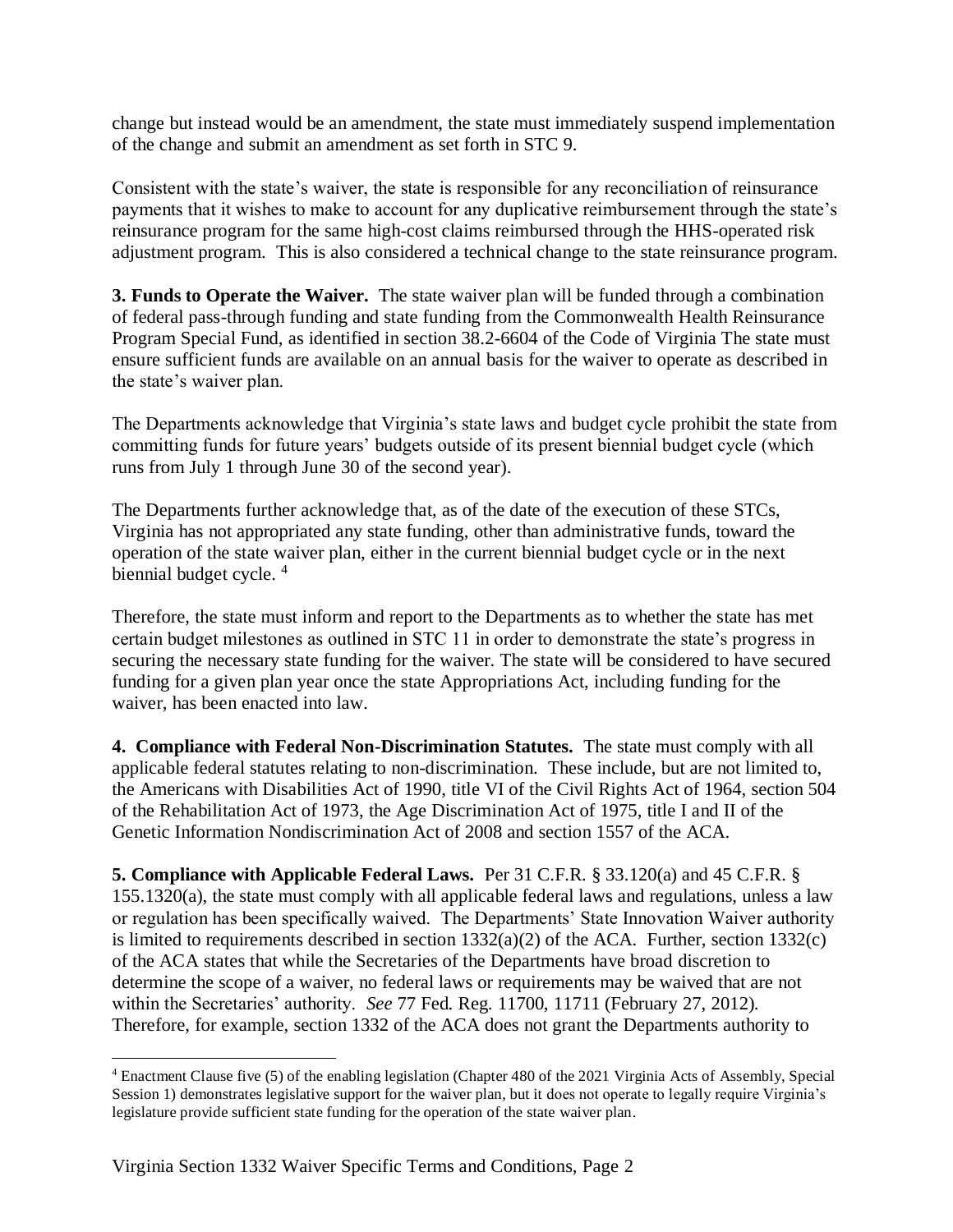change but instead would be an amendment, the state must immediately suspend implementation of the change and submit an amendment as set forth in STC 9.

Consistent with the state's waiver, the state is responsible for any reconciliation of reinsurance payments that it wishes to make to account for any duplicative reimbursement through the state's reinsurance program for the same high-cost claims reimbursed through the HHS-operated risk adjustment program. This is also considered a technical change to the state reinsurance program.

**3. Funds to Operate the Waiver.** The state waiver plan will be funded through a combination of federal pass-through funding and state funding from the Commonwealth Health Reinsurance Program Special Fund, as identified in section 38.2-6604 of the Code of Virginia The state must ensure sufficient funds are available on an annual basis for the waiver to operate as described in the state's waiver plan.

The Departments acknowledge that Virginia's state laws and budget cycle prohibit the state from committing funds for future years' budgets outside of its present biennial budget cycle (which runs from July 1 through June 30 of the second year).

The Departments further acknowledge that, as of the date of the execution of these STCs, Virginia has not appropriated any state funding, other than administrative funds, toward the operation of the state waiver plan, either in the current biennial budget cycle or in the next biennial budget cycle.<sup>4</sup>

Therefore, the state must inform and report to the Departments as to whether the state has met certain budget milestones as outlined in STC 11 in order to demonstrate the state's progress in securing the necessary state funding for the waiver. The state will be considered to have secured funding for a given plan year once the state Appropriations Act, including funding for the waiver, has been enacted into law.

**4. Compliance with Federal Non-Discrimination Statutes.** The state must comply with all applicable federal statutes relating to non-discrimination. These include, but are not limited to, the Americans with Disabilities Act of 1990, title VI of the Civil Rights Act of 1964, section 504 of the Rehabilitation Act of 1973, the Age Discrimination Act of 1975, title I and II of the Genetic Information Nondiscrimination Act of 2008 and section 1557 of the ACA.

**5. Compliance with Applicable Federal Laws.** Per 31 C.F.R. § 33.120(a) and 45 C.F.R. § 155.1320(a), the state must comply with all applicable federal laws and regulations, unless a law or regulation has been specifically waived. The Departments' State Innovation Waiver authority is limited to requirements described in section  $1332(a)(2)$  of the ACA. Further, section  $1332(c)$ of the ACA states that while the Secretaries of the Departments have broad discretion to determine the scope of a waiver, no federal laws or requirements may be waived that are not within the Secretaries' authority. *See* 77 Fed. Reg. 11700, 11711 (February 27, 2012). Therefore, for example, section 1332 of the ACA does not grant the Departments authority to

 $\overline{a}$ 

<sup>4</sup> Enactment Clause five (5) of the enabling legislation (Chapter 480 of the 2021 Virginia Acts of Assembly, Special Session 1) demonstrates legislative support for the waiver plan, but it does not operate to legally require Virginia's legislature provide sufficient state funding for the operation of the state waiver plan.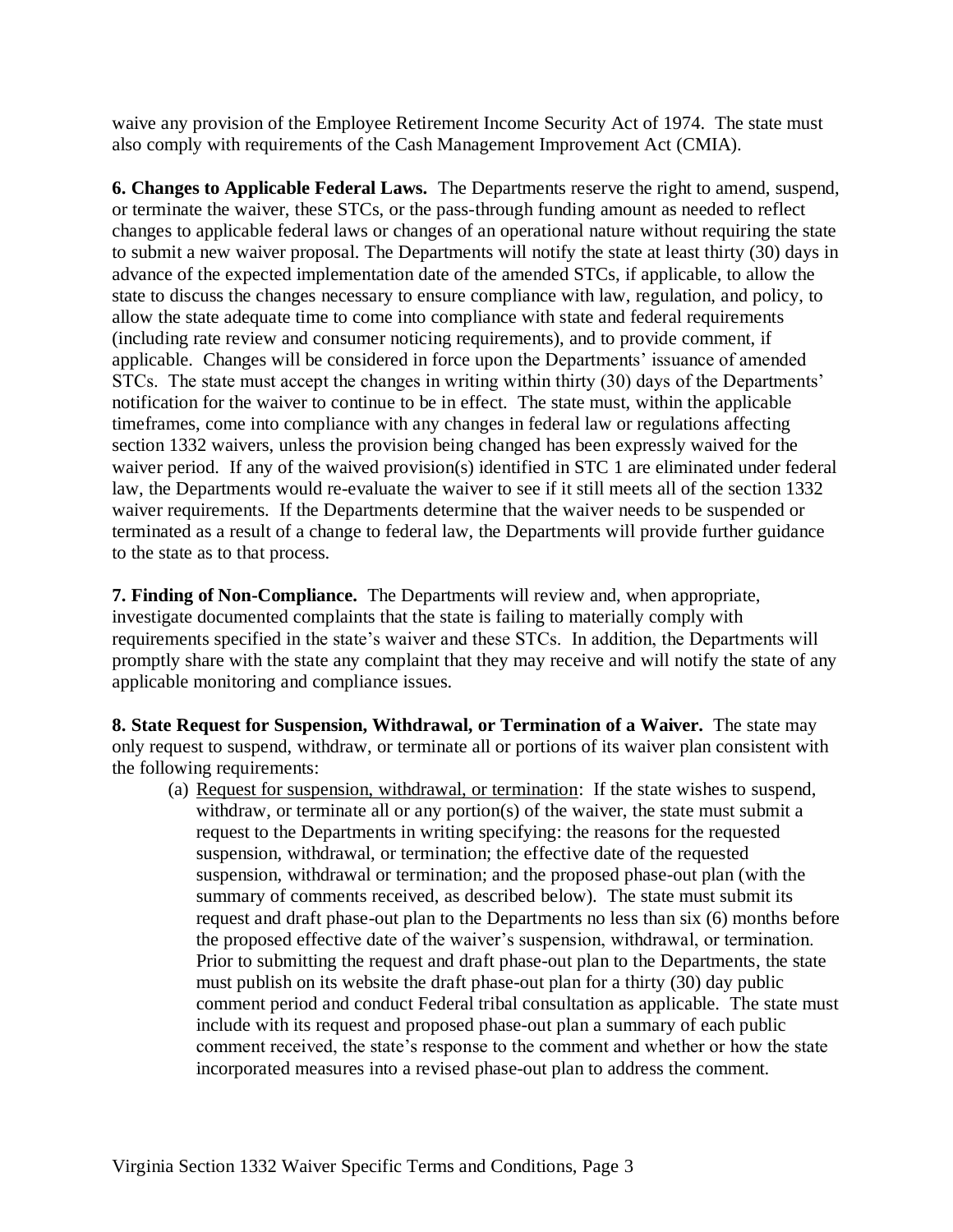waive any provision of the Employee Retirement Income Security Act of 1974. The state must also comply with requirements of the Cash Management Improvement Act (CMIA).

**6. Changes to Applicable Federal Laws.** The Departments reserve the right to amend, suspend, or terminate the waiver, these STCs, or the pass-through funding amount as needed to reflect changes to applicable federal laws or changes of an operational nature without requiring the state to submit a new waiver proposal. The Departments will notify the state at least thirty (30) days in advance of the expected implementation date of the amended STCs, if applicable, to allow the state to discuss the changes necessary to ensure compliance with law, regulation, and policy, to allow the state adequate time to come into compliance with state and federal requirements (including rate review and consumer noticing requirements), and to provide comment, if applicable. Changes will be considered in force upon the Departments' issuance of amended STCs. The state must accept the changes in writing within thirty (30) days of the Departments' notification for the waiver to continue to be in effect. The state must, within the applicable timeframes, come into compliance with any changes in federal law or regulations affecting section 1332 waivers, unless the provision being changed has been expressly waived for the waiver period. If any of the waived provision(s) identified in STC 1 are eliminated under federal law, the Departments would re-evaluate the waiver to see if it still meets all of the section 1332 waiver requirements. If the Departments determine that the waiver needs to be suspended or terminated as a result of a change to federal law, the Departments will provide further guidance to the state as to that process.

**7. Finding of Non-Compliance.** The Departments will review and, when appropriate, investigate documented complaints that the state is failing to materially comply with requirements specified in the state's waiver and these STCs. In addition, the Departments will promptly share with the state any complaint that they may receive and will notify the state of any applicable monitoring and compliance issues.

**8. State Request for Suspension, Withdrawal, or Termination of a Waiver.** The state may only request to suspend, withdraw, or terminate all or portions of its waiver plan consistent with the following requirements:

(a) Request for suspension, withdrawal, or termination: If the state wishes to suspend, withdraw, or terminate all or any portion(s) of the waiver, the state must submit a request to the Departments in writing specifying: the reasons for the requested suspension, withdrawal, or termination; the effective date of the requested suspension, withdrawal or termination; and the proposed phase-out plan (with the summary of comments received, as described below). The state must submit its request and draft phase-out plan to the Departments no less than six (6) months before the proposed effective date of the waiver's suspension, withdrawal, or termination. Prior to submitting the request and draft phase-out plan to the Departments, the state must publish on its website the draft phase-out plan for a thirty (30) day public comment period and conduct Federal tribal consultation as applicable. The state must include with its request and proposed phase-out plan a summary of each public comment received, the state's response to the comment and whether or how the state incorporated measures into a revised phase-out plan to address the comment.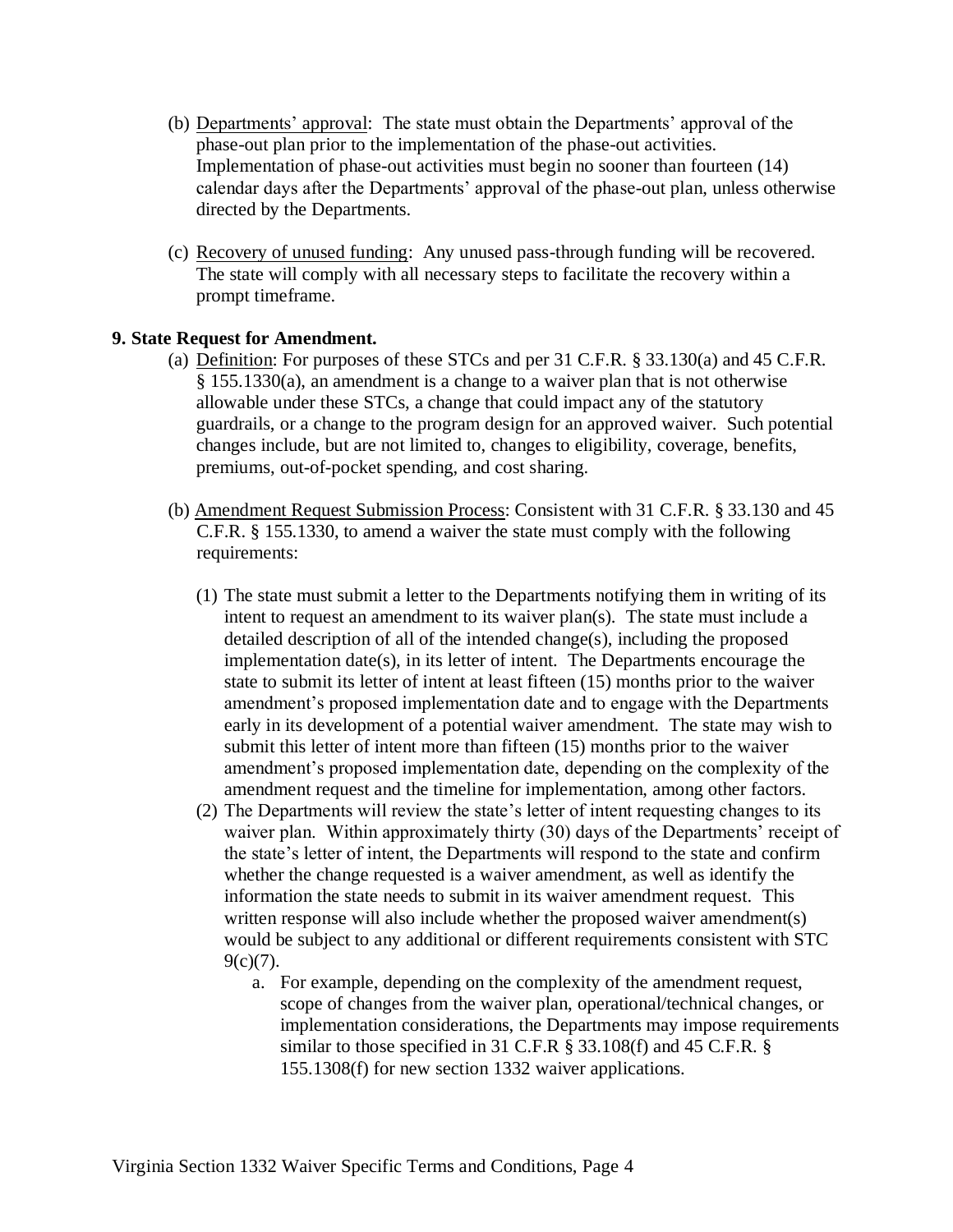- (b) Departments' approval: The state must obtain the Departments' approval of the phase-out plan prior to the implementation of the phase-out activities. Implementation of phase-out activities must begin no sooner than fourteen (14) calendar days after the Departments' approval of the phase-out plan, unless otherwise directed by the Departments.
- (c) Recovery of unused funding: Any unused pass-through funding will be recovered. The state will comply with all necessary steps to facilitate the recovery within a prompt timeframe.

### **9. State Request for Amendment.**

- (a) Definition: For purposes of these STCs and per 31 C.F.R. § 33.130(a) and 45 C.F.R. § 155.1330(a), an amendment is a change to a waiver plan that is not otherwise allowable under these STCs, a change that could impact any of the statutory guardrails, or a change to the program design for an approved waiver. Such potential changes include, but are not limited to, changes to eligibility, coverage, benefits, premiums, out-of-pocket spending, and cost sharing.
- (b) Amendment Request Submission Process: Consistent with 31 C.F.R. § 33.130 and 45 C.F.R. § 155.1330, to amend a waiver the state must comply with the following requirements:
	- (1) The state must submit a letter to the Departments notifying them in writing of its intent to request an amendment to its waiver  $plan(s)$ . The state must include a detailed description of all of the intended change(s), including the proposed implementation date(s), in its letter of intent. The Departments encourage the state to submit its letter of intent at least fifteen (15) months prior to the waiver amendment's proposed implementation date and to engage with the Departments early in its development of a potential waiver amendment. The state may wish to submit this letter of intent more than fifteen (15) months prior to the waiver amendment's proposed implementation date, depending on the complexity of the amendment request and the timeline for implementation, among other factors.
	- (2) The Departments will review the state's letter of intent requesting changes to its waiver plan. Within approximately thirty (30) days of the Departments' receipt of the state's letter of intent, the Departments will respond to the state and confirm whether the change requested is a waiver amendment, as well as identify the information the state needs to submit in its waiver amendment request. This written response will also include whether the proposed waiver amendment(s) would be subject to any additional or different requirements consistent with STC  $9(c)(7)$ .
		- a. For example, depending on the complexity of the amendment request, scope of changes from the waiver plan, operational/technical changes, or implementation considerations, the Departments may impose requirements similar to those specified in 31 C.F.R § 33.108(f) and 45 C.F.R. § 155.1308(f) for new section 1332 waiver applications.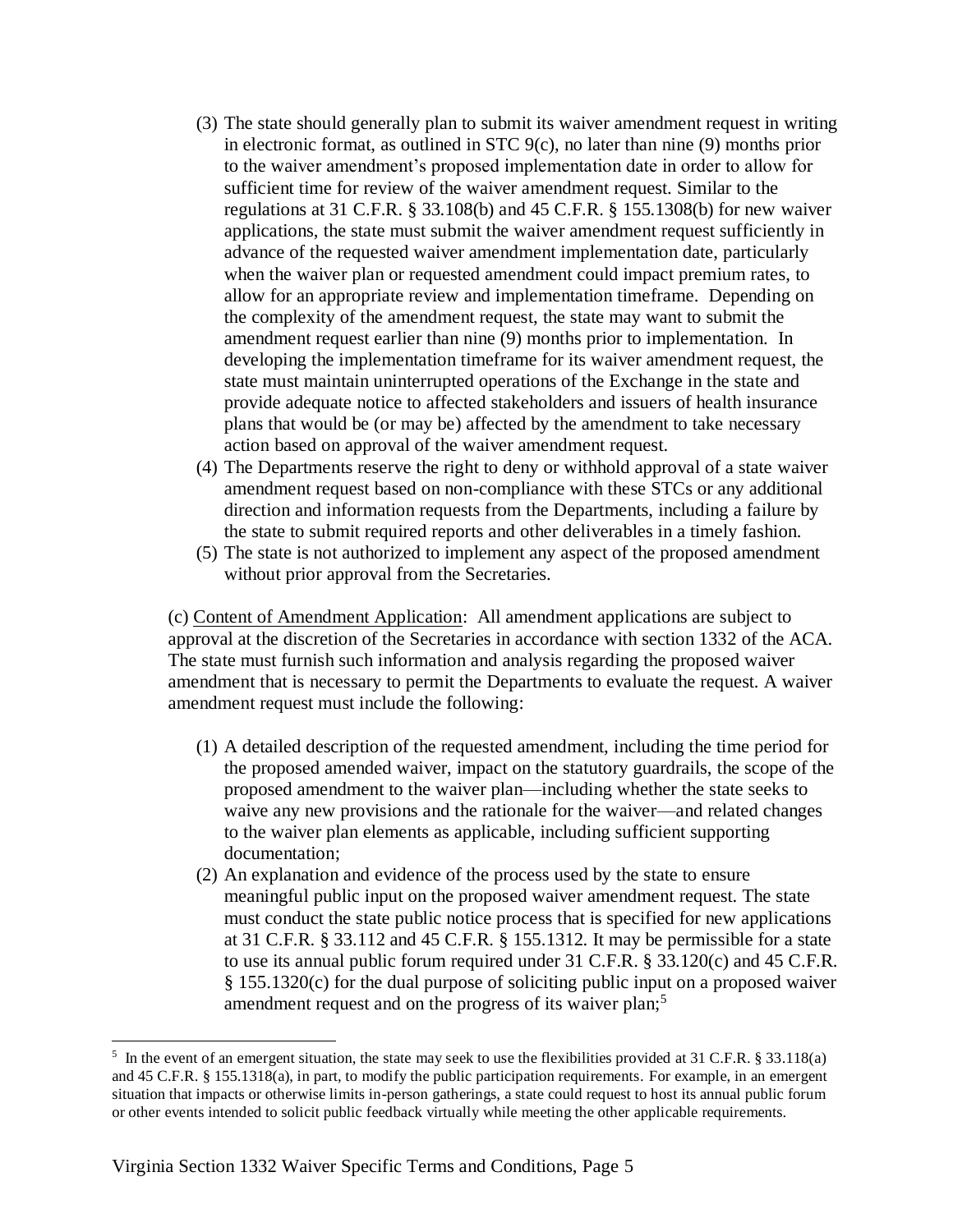- (3) The state should generally plan to submit its waiver amendment request in writing in electronic format, as outlined in STC 9(c), no later than nine (9) months prior to the waiver amendment's proposed implementation date in order to allow for sufficient time for review of the waiver amendment request. Similar to the regulations at 31 C.F.R. § 33.108(b) and 45 C.F.R. § 155.1308(b) for new waiver applications, the state must submit the waiver amendment request sufficiently in advance of the requested waiver amendment implementation date, particularly when the waiver plan or requested amendment could impact premium rates, to allow for an appropriate review and implementation timeframe. Depending on the complexity of the amendment request, the state may want to submit the amendment request earlier than nine (9) months prior to implementation. In developing the implementation timeframe for its waiver amendment request, the state must maintain uninterrupted operations of the Exchange in the state and provide adequate notice to affected stakeholders and issuers of health insurance plans that would be (or may be) affected by the amendment to take necessary action based on approval of the waiver amendment request.
- (4) The Departments reserve the right to deny or withhold approval of a state waiver amendment request based on non-compliance with these STCs or any additional direction and information requests from the Departments, including a failure by the state to submit required reports and other deliverables in a timely fashion.
- (5) The state is not authorized to implement any aspect of the proposed amendment without prior approval from the Secretaries.

(c) Content of Amendment Application:All amendment applications are subject to approval at the discretion of the Secretaries in accordance with section 1332 of the ACA. The state must furnish such information and analysis regarding the proposed waiver amendment that is necessary to permit the Departments to evaluate the request. A waiver amendment request must include the following:

- (1) A detailed description of the requested amendment, including the time period for the proposed amended waiver, impact on the statutory guardrails, the scope of the proposed amendment to the waiver plan—including whether the state seeks to waive any new provisions and the rationale for the waiver—and related changes to the waiver plan elements as applicable, including sufficient supporting documentation;
- (2) An explanation and evidence of the process used by the state to ensure meaningful public input on the proposed waiver amendment request. The state must conduct the state public notice process that is specified for new applications at 31 C.F.R. § 33.112 and 45 C.F.R. § 155.1312. It may be permissible for a state to use its annual public forum required under 31 C.F.R. § 33.120(c) and 45 C.F.R. § 155.1320(c) for the dual purpose of soliciting public input on a proposed waiver amendment request and on the progress of its waiver plan;<sup>5</sup>

<sup>&</sup>lt;sup>5</sup> In the event of an emergent situation, the state may seek to use the flexibilities provided at 31 C.F.R.  $\S 33.118(a)$ and 45 C.F.R. § 155.1318(a), in part, to modify the public participation requirements. For example, in an emergent situation that impacts or otherwise limits in-person gatherings, a state could request to host its annual public forum or other events intended to solicit public feedback virtually while meeting the other applicable requirements.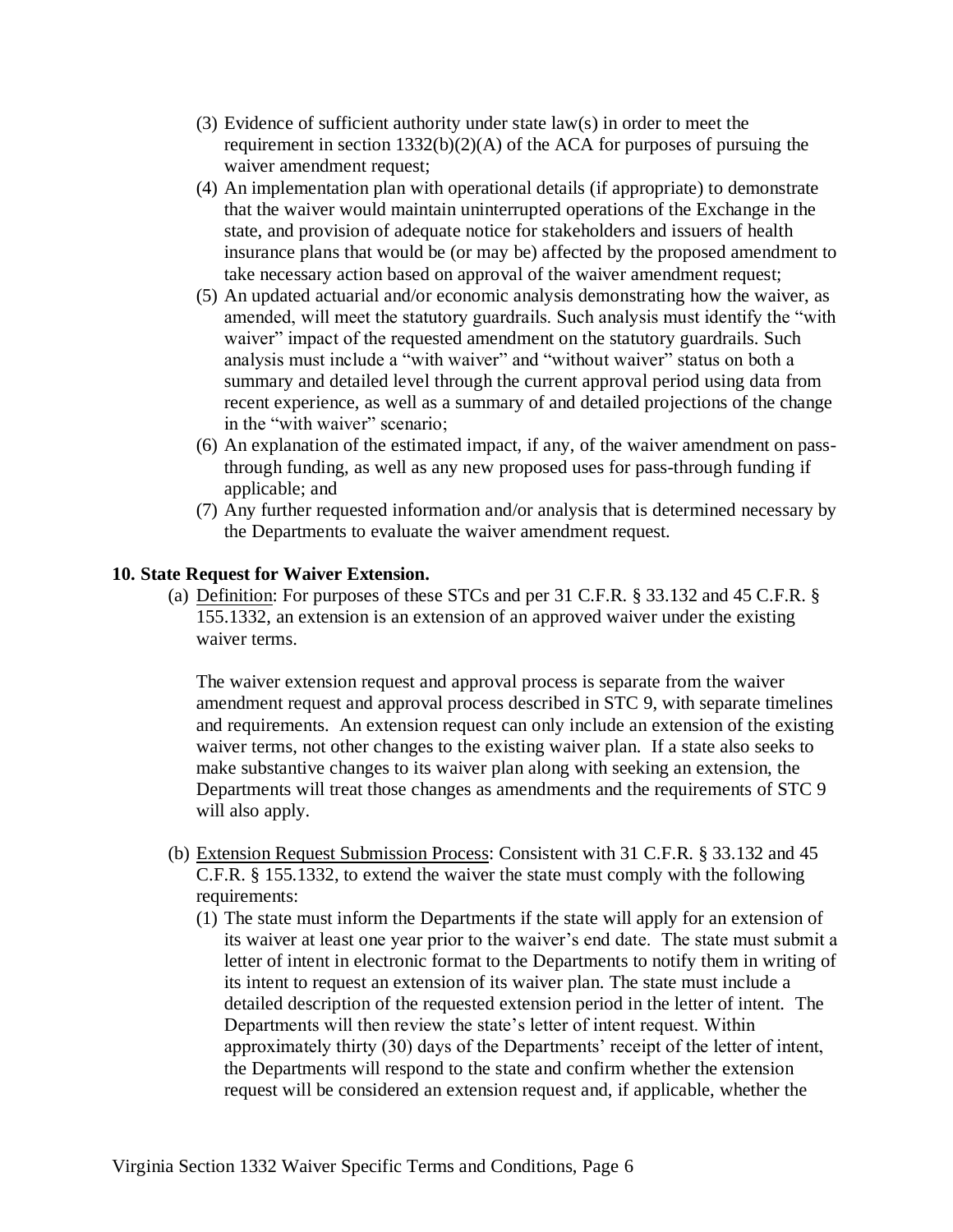- (3) Evidence of sufficient authority under state law(s) in order to meet the requirement in section  $1332(b)(2)(A)$  of the ACA for purposes of pursuing the waiver amendment request;
- (4) An implementation plan with operational details (if appropriate) to demonstrate that the waiver would maintain uninterrupted operations of the Exchange in the state, and provision of adequate notice for stakeholders and issuers of health insurance plans that would be (or may be) affected by the proposed amendment to take necessary action based on approval of the waiver amendment request;
- (5) An updated actuarial and/or economic analysis demonstrating how the waiver, as amended, will meet the statutory guardrails. Such analysis must identify the "with waiver" impact of the requested amendment on the statutory guardrails. Such analysis must include a "with waiver" and "without waiver" status on both a summary and detailed level through the current approval period using data from recent experience, as well as a summary of and detailed projections of the change in the "with waiver" scenario;
- (6) An explanation of the estimated impact, if any, of the waiver amendment on passthrough funding, as well as any new proposed uses for pass-through funding if applicable; and
- (7) Any further requested information and/or analysis that is determined necessary by the Departments to evaluate the waiver amendment request.

### **10. State Request for Waiver Extension.**

(a) Definition: For purposes of these STCs and per 31 C.F.R. § 33.132 and 45 C.F.R. § 155.1332, an extension is an extension of an approved waiver under the existing waiver terms.

The waiver extension request and approval process is separate from the waiver amendment request and approval process described in STC 9, with separate timelines and requirements. An extension request can only include an extension of the existing waiver terms, not other changes to the existing waiver plan. If a state also seeks to make substantive changes to its waiver plan along with seeking an extension, the Departments will treat those changes as amendments and the requirements of STC 9 will also apply.

- (b) Extension Request Submission Process: Consistent with 31 C.F.R. § 33.132 and 45 C.F.R. § 155.1332, to extend the waiver the state must comply with the following requirements:
	- (1) The state must inform the Departments if the state will apply for an extension of its waiver at least one year prior to the waiver's end date. The state must submit a letter of intent in electronic format to the Departments to notify them in writing of its intent to request an extension of its waiver plan. The state must include a detailed description of the requested extension period in the letter of intent. The Departments will then review the state's letter of intent request. Within approximately thirty (30) days of the Departments' receipt of the letter of intent, the Departments will respond to the state and confirm whether the extension request will be considered an extension request and, if applicable, whether the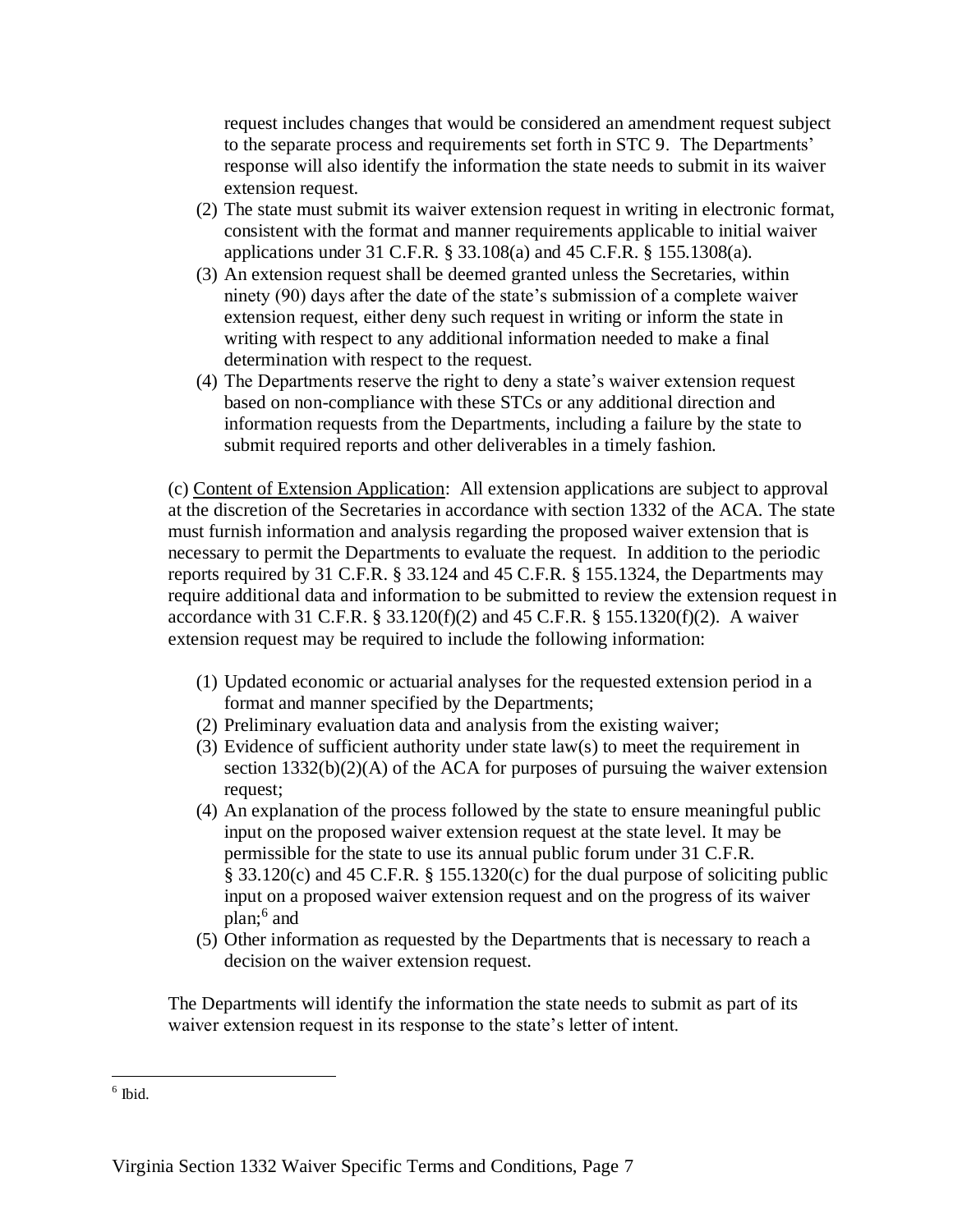request includes changes that would be considered an amendment request subject to the separate process and requirements set forth in STC 9. The Departments' response will also identify the information the state needs to submit in its waiver extension request.

- (2) The state must submit its waiver extension request in writing in electronic format, consistent with the format and manner requirements applicable to initial waiver applications under 31 C.F.R. § 33.108(a) and 45 C.F.R. § 155.1308(a).
- (3) An extension request shall be deemed granted unless the Secretaries, within ninety (90) days after the date of the state's submission of a complete waiver extension request, either deny such request in writing or inform the state in writing with respect to any additional information needed to make a final determination with respect to the request.
- (4) The Departments reserve the right to deny a state's waiver extension request based on non-compliance with these STCs or any additional direction and information requests from the Departments, including a failure by the state to submit required reports and other deliverables in a timely fashion.

(c) Content of Extension Application:All extension applications are subject to approval at the discretion of the Secretaries in accordance with section 1332 of the ACA. The state must furnish information and analysis regarding the proposed waiver extension that is necessary to permit the Departments to evaluate the request. In addition to the periodic reports required by 31 C.F.R. § 33.124 and 45 C.F.R. § 155.1324, the Departments may require additional data and information to be submitted to review the extension request in accordance with 31 C.F.R. § 33.120(f)(2) and 45 C.F.R. § 155.1320(f)(2). A waiver extension request may be required to include the following information:

- (1) Updated economic or actuarial analyses for the requested extension period in a format and manner specified by the Departments;
- (2) Preliminary evaluation data and analysis from the existing waiver;
- (3) Evidence of sufficient authority under state law(s) to meet the requirement in section  $1332(b)(2)(A)$  of the ACA for purposes of pursuing the waiver extension request;
- (4) An explanation of the process followed by the state to ensure meaningful public input on the proposed waiver extension request at the state level. It may be permissible for the state to use its annual public forum under 31 C.F.R. § 33.120(c) and 45 C.F.R. § 155.1320(c) for the dual purpose of soliciting public input on a proposed waiver extension request and on the progress of its waiver plan;<sup>6</sup> and
- (5) Other information as requested by the Departments that is necessary to reach a decision on the waiver extension request.

The Departments will identify the information the state needs to submit as part of its waiver extension request in its response to the state's letter of intent.

 $\overline{\phantom{a}}$ 6 Ibid.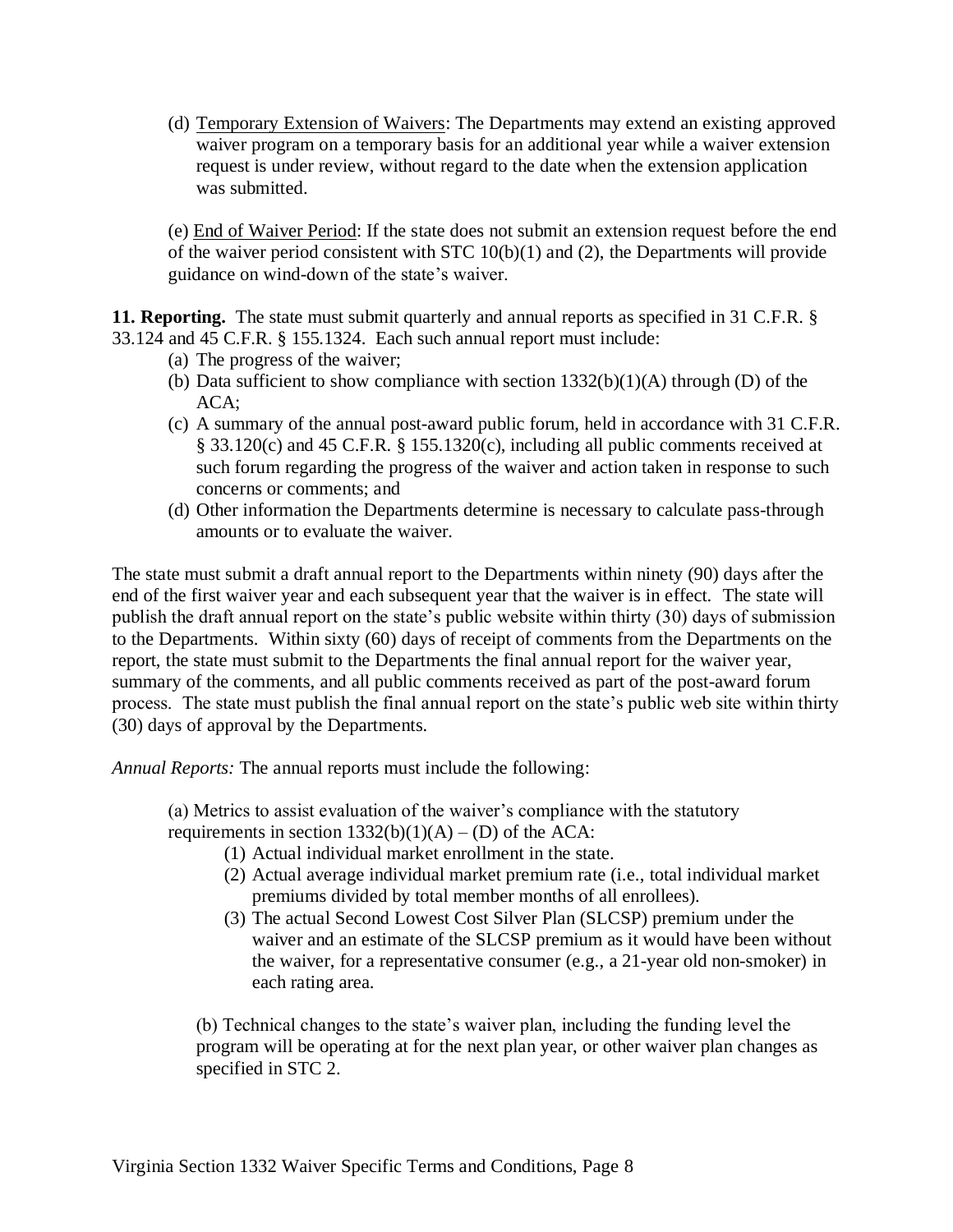(d) Temporary Extension of Waivers: The Departments may extend an existing approved waiver program on a temporary basis for an additional year while a waiver extension request is under review, without regard to the date when the extension application was submitted.

(e) End of Waiver Period: If the state does not submit an extension request before the end of the waiver period consistent with STC  $10(b)(1)$  and (2), the Departments will provide guidance on wind-down of the state's waiver.

**11. Reporting.** The state must submit quarterly and annual reports as specified in 31 C.F.R. § 33.124 and 45 C.F.R. § 155.1324. Each such annual report must include:

- (a) The progress of the waiver;
- (b) Data sufficient to show compliance with section  $1332(b)(1)(A)$  through (D) of the ACA;
- (c) A summary of the annual post-award public forum, held in accordance with 31 C.F.R. § 33.120(c) and 45 C.F.R. § 155.1320(c), including all public comments received at such forum regarding the progress of the waiver and action taken in response to such concerns or comments; and
- (d) Other information the Departments determine is necessary to calculate pass-through amounts or to evaluate the waiver.

The state must submit a draft annual report to the Departments within ninety (90) days after the end of the first waiver year and each subsequent year that the waiver is in effect. The state will publish the draft annual report on the state's public website within thirty (30) days of submission to the Departments. Within sixty (60) days of receipt of comments from the Departments on the report, the state must submit to the Departments the final annual report for the waiver year, summary of the comments, and all public comments received as part of the post-award forum process. The state must publish the final annual report on the state's public web site within thirty (30) days of approval by the Departments.

*Annual Reports:* The annual reports must include the following:

(a) Metrics to assist evaluation of the waiver's compliance with the statutory requirements in section  $1332(b)(1)(A) - (D)$  of the ACA:

- (1) Actual individual market enrollment in the state.
- (2) Actual average individual market premium rate (i.e., total individual market premiums divided by total member months of all enrollees).
- (3) The actual Second Lowest Cost Silver Plan (SLCSP) premium under the waiver and an estimate of the SLCSP premium as it would have been without the waiver, for a representative consumer (e.g., a 21-year old non-smoker) in each rating area.

(b) Technical changes to the state's waiver plan, including the funding level the program will be operating at for the next plan year, or other waiver plan changes as specified in STC 2.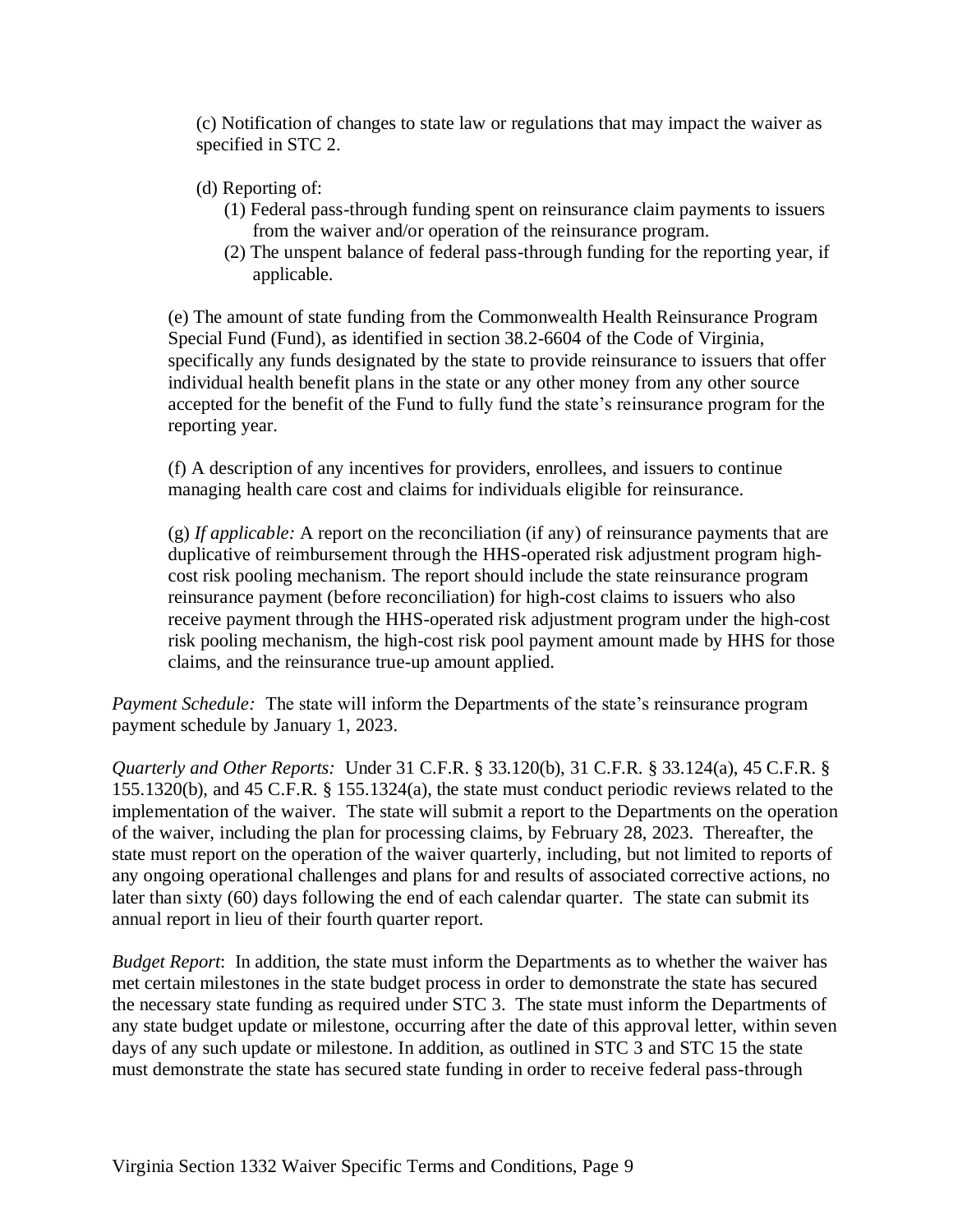(c) Notification of changes to state law or regulations that may impact the waiver as specified in STC 2.

# (d) Reporting of:

- (1) Federal pass-through funding spent on reinsurance claim payments to issuers from the waiver and/or operation of the reinsurance program.
- (2) The unspent balance of federal pass-through funding for the reporting year, if applicable.

(e) The amount of state funding from the Commonwealth Health Reinsurance Program Special Fund (Fund), as identified in section 38.2-6604 of the Code of Virginia, specifically any funds designated by the state to provide reinsurance to issuers that offer individual health benefit plans in the state or any other money from any other source accepted for the benefit of the Fund to fully fund the state's reinsurance program for the reporting year.

(f) A description of any incentives for providers, enrollees, and issuers to continue managing health care cost and claims for individuals eligible for reinsurance.

 $(g)$  *If applicable:* A report on the reconciliation (if any) of reinsurance payments that are duplicative of reimbursement through the HHS-operated risk adjustment program highcost risk pooling mechanism. The report should include the state reinsurance program reinsurance payment (before reconciliation) for high-cost claims to issuers who also receive payment through the HHS-operated risk adjustment program under the high-cost risk pooling mechanism, the high-cost risk pool payment amount made by HHS for those claims, and the reinsurance true-up amount applied.

*Payment Schedule:* The state will inform the Departments of the state's reinsurance program payment schedule by January 1, 2023.

*Quarterly and Other Reports:* Under 31 C.F.R. § 33.120(b), 31 C.F.R. § 33.124(a), 45 C.F.R. § 155.1320(b), and 45 C.F.R. § 155.1324(a), the state must conduct periodic reviews related to the implementation of the waiver. The state will submit a report to the Departments on the operation of the waiver, including the plan for processing claims, by February 28, 2023. Thereafter, the state must report on the operation of the waiver quarterly, including, but not limited to reports of any ongoing operational challenges and plans for and results of associated corrective actions, no later than sixty (60) days following the end of each calendar quarter. The state can submit its annual report in lieu of their fourth quarter report.

*Budget Report*: In addition, the state must inform the Departments as to whether the waiver has met certain milestones in the state budget process in order to demonstrate the state has secured the necessary state funding as required under STC 3. The state must inform the Departments of any state budget update or milestone, occurring after the date of this approval letter, within seven days of any such update or milestone. In addition, as outlined in STC 3 and STC 15 the state must demonstrate the state has secured state funding in order to receive federal pass-through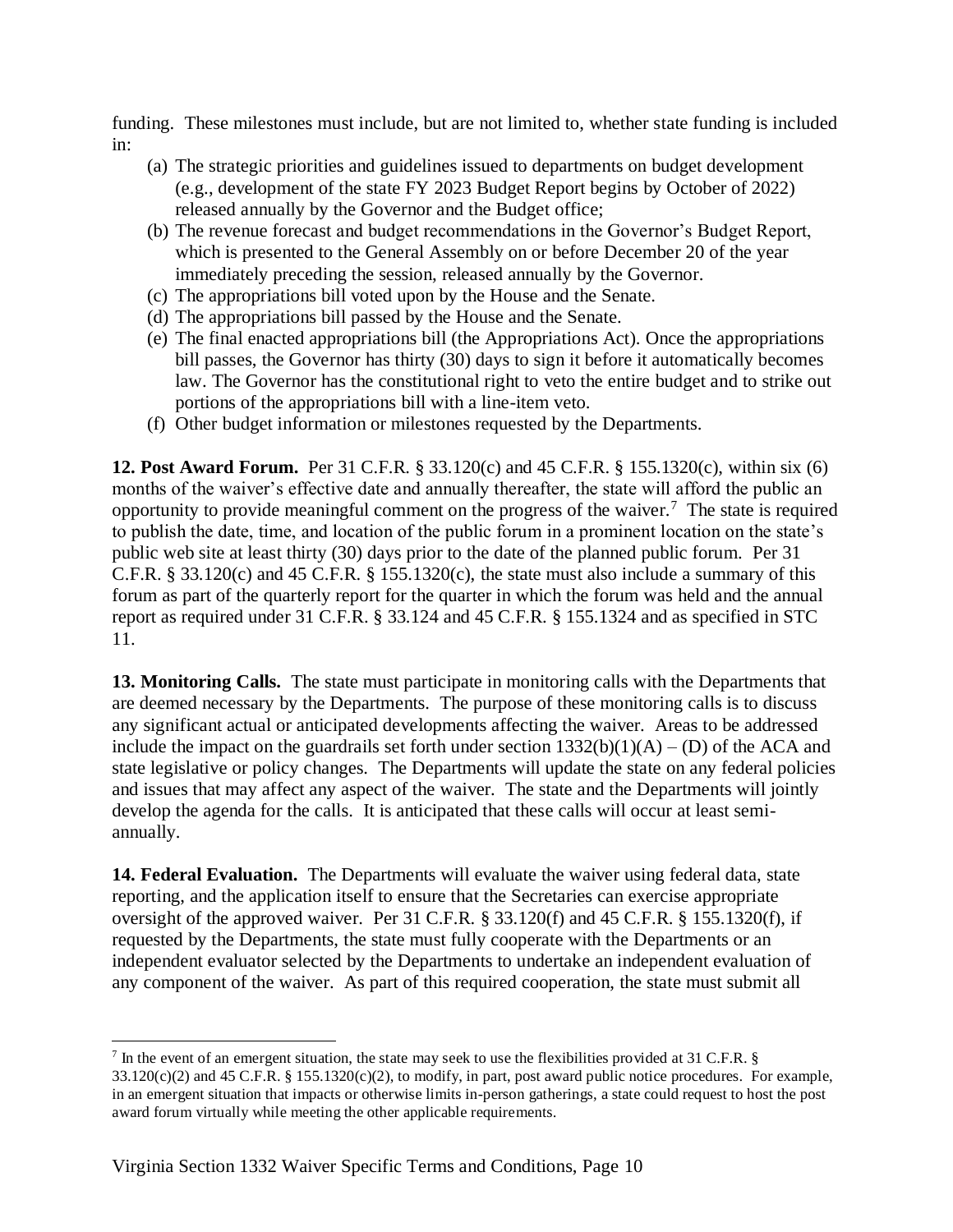funding. These milestones must include, but are not limited to, whether state funding is included in:

- (a) The strategic priorities and guidelines issued to departments on budget development (e.g., development of the state FY 2023 Budget Report begins by October of 2022) released annually by the Governor and the Budget office;
- (b) The revenue forecast and budget recommendations in the Governor's Budget Report, which is presented to the General Assembly on or before December 20 of the year immediately preceding the session, released annually by the Governor.
- (c) The appropriations bill voted upon by the House and the Senate.
- (d) The appropriations bill passed by the House and the Senate.
- (e) The final enacted appropriations bill (the Appropriations Act). Once the appropriations bill passes, the Governor has thirty (30) days to sign it before it automatically becomes law. The Governor has the constitutional right to veto the entire budget and to strike out portions of the appropriations bill with a line-item veto.
- (f) Other budget information or milestones requested by the Departments.

**12. Post Award Forum.** Per 31 C.F.R. § 33.120(c) and 45 C.F.R. § 155.1320(c), within six (6) months of the waiver's effective date and annually thereafter, the state will afford the public an opportunity to provide meaningful comment on the progress of the waiver.<sup>7</sup> The state is required to publish the date, time, and location of the public forum in a prominent location on the state's public web site at least thirty (30) days prior to the date of the planned public forum. Per 31 C.F.R. § 33.120(c) and 45 C.F.R. § 155.1320(c), the state must also include a summary of this forum as part of the quarterly report for the quarter in which the forum was held and the annual report as required under 31 C.F.R. § 33.124 and 45 C.F.R. § 155.1324 and as specified in STC 11.

**13. Monitoring Calls.** The state must participate in monitoring calls with the Departments that are deemed necessary by the Departments. The purpose of these monitoring calls is to discuss any significant actual or anticipated developments affecting the waiver. Areas to be addressed include the impact on the guardrails set forth under section  $1332(b)(1)(A) - (D)$  of the ACA and state legislative or policy changes. The Departments will update the state on any federal policies and issues that may affect any aspect of the waiver. The state and the Departments will jointly develop the agenda for the calls. It is anticipated that these calls will occur at least semiannually.

**14. Federal Evaluation.** The Departments will evaluate the waiver using federal data, state reporting, and the application itself to ensure that the Secretaries can exercise appropriate oversight of the approved waiver. Per 31 C.F.R. § 33.120(f) and 45 C.F.R. § 155.1320(f), if requested by the Departments, the state must fully cooperate with the Departments or an independent evaluator selected by the Departments to undertake an independent evaluation of any component of the waiver. As part of this required cooperation, the state must submit all

 $^7$  In the event of an emergent situation, the state may seek to use the flexibilities provided at 31 C.F.R. §  $33.120(c)(2)$  and  $45$  C.F.R. §  $155.1320(c)(2)$ , to modify, in part, post award public notice procedures. For example, in an emergent situation that impacts or otherwise limits in-person gatherings, a state could request to host the post award forum virtually while meeting the other applicable requirements.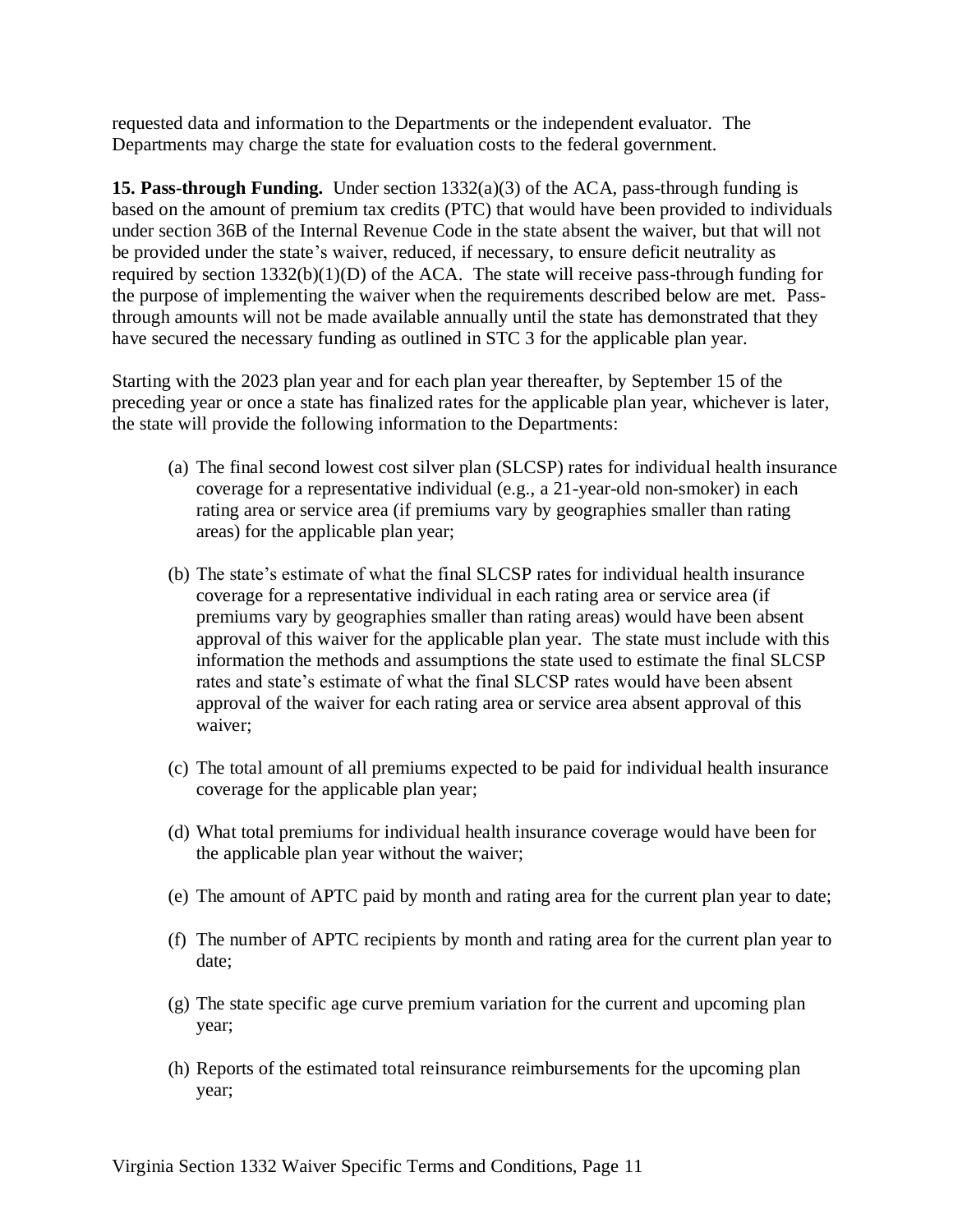requested data and information to the Departments or the independent evaluator. The Departments may charge the state for evaluation costs to the federal government.

**15. Pass-through Funding.** Under section 1332(a)(3) of the ACA, pass-through funding is based on the amount of premium tax credits (PTC) that would have been provided to individuals under section 36B of the Internal Revenue Code in the state absent the waiver, but that will not be provided under the state's waiver, reduced, if necessary, to ensure deficit neutrality as required by section  $1332(b)(1)(D)$  of the ACA. The state will receive pass-through funding for the purpose of implementing the waiver when the requirements described below are met. Passthrough amounts will not be made available annually until the state has demonstrated that they have secured the necessary funding as outlined in STC 3 for the applicable plan year.

Starting with the 2023 plan year and for each plan year thereafter, by September 15 of the preceding year or once a state has finalized rates for the applicable plan year, whichever is later, the state will provide the following information to the Departments:

- (a) The final second lowest cost silver plan (SLCSP) rates for individual health insurance coverage for a representative individual (e.g., a 21-year-old non-smoker) in each rating area or service area (if premiums vary by geographies smaller than rating areas) for the applicable plan year;
- (b) The state's estimate of what the final SLCSP rates for individual health insurance coverage for a representative individual in each rating area or service area (if premiums vary by geographies smaller than rating areas) would have been absent approval of this waiver for the applicable plan year. The state must include with this information the methods and assumptions the state used to estimate the final SLCSP rates and state's estimate of what the final SLCSP rates would have been absent approval of the waiver for each rating area or service area absent approval of this waiver;
- (c) The total amount of all premiums expected to be paid for individual health insurance coverage for the applicable plan year;
- (d) What total premiums for individual health insurance coverage would have been for the applicable plan year without the waiver;
- (e) The amount of APTC paid by month and rating area for the current plan year to date;
- (f) The number of APTC recipients by month and rating area for the current plan year to date;
- (g) The state specific age curve premium variation for the current and upcoming plan year;
- (h) Reports of the estimated total reinsurance reimbursements for the upcoming plan year;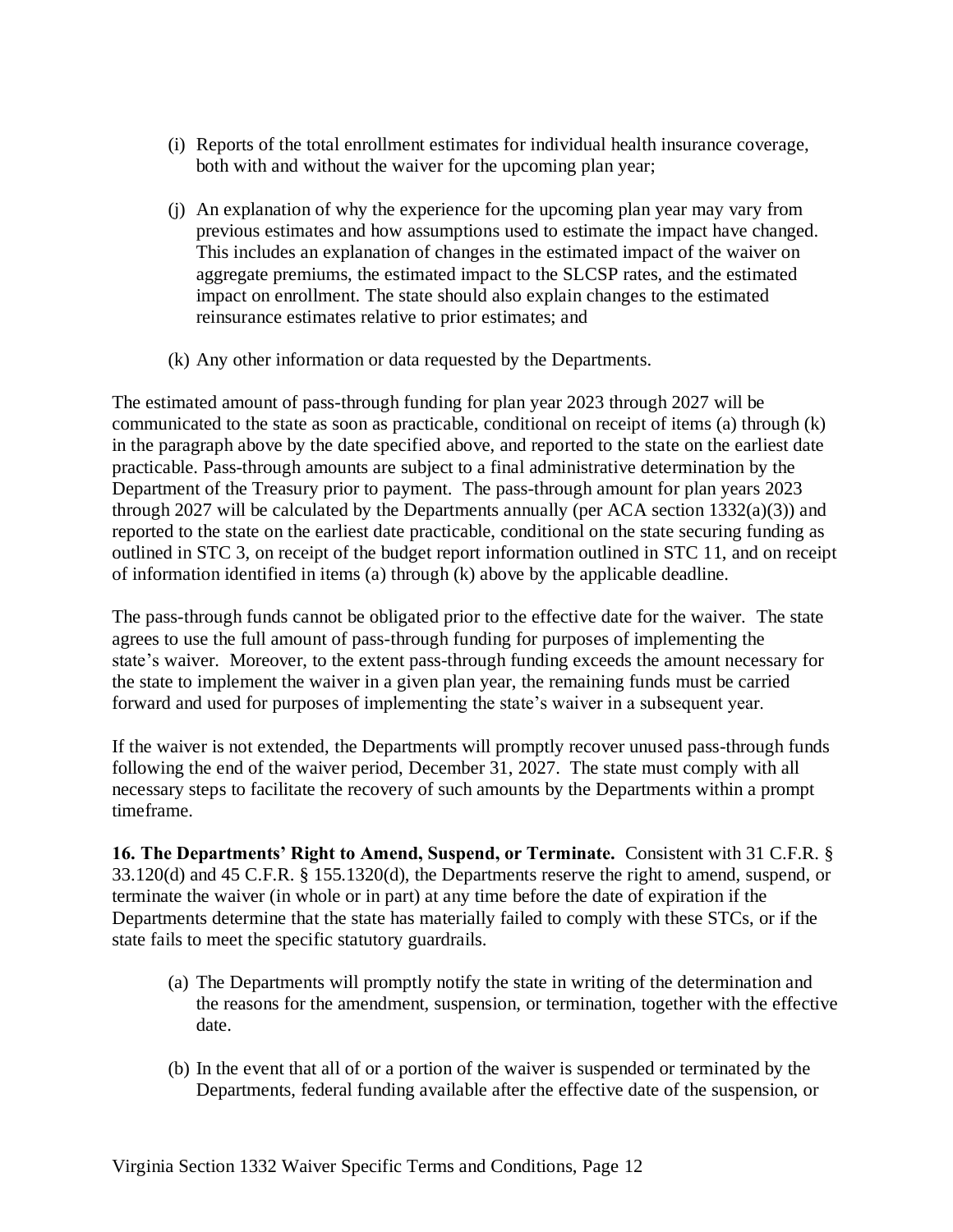- (i) Reports of the total enrollment estimates for individual health insurance coverage, both with and without the waiver for the upcoming plan year;
- (j) An explanation of why the experience for the upcoming plan year may vary from previous estimates and how assumptions used to estimate the impact have changed. This includes an explanation of changes in the estimated impact of the waiver on aggregate premiums, the estimated impact to the SLCSP rates, and the estimated impact on enrollment. The state should also explain changes to the estimated reinsurance estimates relative to prior estimates; and
- (k) Any other information or data requested by the Departments.

The estimated amount of pass-through funding for plan year 2023 through 2027 will be communicated to the state as soon as practicable, conditional on receipt of items (a) through (k) in the paragraph above by the date specified above, and reported to the state on the earliest date practicable. Pass-through amounts are subject to a final administrative determination by the Department of the Treasury prior to payment. The pass-through amount for plan years 2023 through 2027 will be calculated by the Departments annually (per ACA section  $1332(a)(3)$ ) and reported to the state on the earliest date practicable, conditional on the state securing funding as outlined in STC 3, on receipt of the budget report information outlined in STC 11, and on receipt of information identified in items (a) through (k) above by the applicable deadline.

The pass-through funds cannot be obligated prior to the effective date for the waiver. The state agrees to use the full amount of pass-through funding for purposes of implementing the state's waiver. Moreover, to the extent pass-through funding exceeds the amount necessary for the state to implement the waiver in a given plan year, the remaining funds must be carried forward and used for purposes of implementing the state's waiver in a subsequent year.

If the waiver is not extended, the Departments will promptly recover unused pass-through funds following the end of the waiver period, December 31, 2027. The state must comply with all necessary steps to facilitate the recovery of such amounts by the Departments within a prompt timeframe.

**16. The Departments' Right to Amend, Suspend, or Terminate.** Consistent with 31 C.F.R. § 33.120(d) and 45 C.F.R. § 155.1320(d), the Departments reserve the right to amend, suspend, or terminate the waiver (in whole or in part) at any time before the date of expiration if the Departments determine that the state has materially failed to comply with these STCs, or if the state fails to meet the specific statutory guardrails.

- (a) The Departments will promptly notify the state in writing of the determination and the reasons for the amendment, suspension, or termination, together with the effective date.
- (b) In the event that all of or a portion of the waiver is suspended or terminated by the Departments, federal funding available after the effective date of the suspension, or